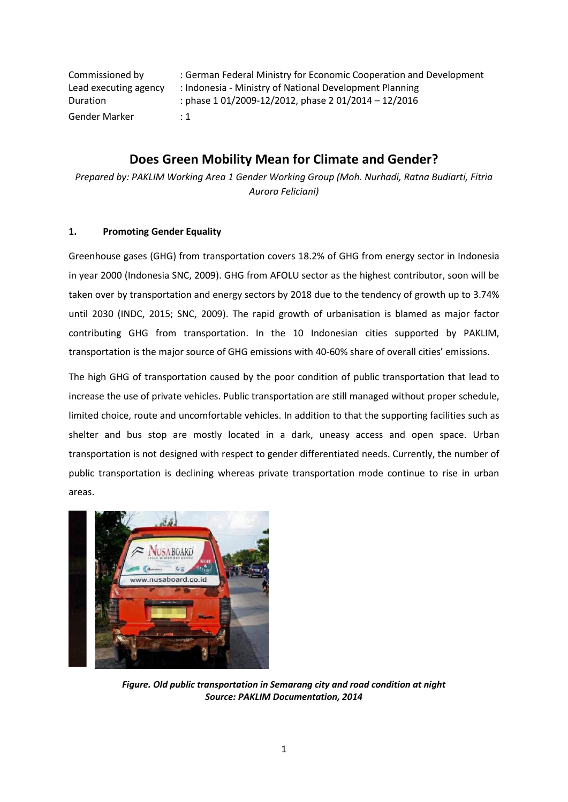| Commissioned by       | : German Federal Ministry for Economic Cooperation and Development |
|-----------------------|--------------------------------------------------------------------|
| Lead executing agency | : Indonesia - Ministry of National Development Planning            |
| <b>Duration</b>       | : phase $1\,01/2009 - 12/2012$ , phase $2\,01/2014 - 12/2016$      |
| Gender Marker         | $\div$ 1                                                           |

# **Does Green Mobility Mean for Climate and Gender?**

*Prepared by: PAKLIM Working Area 1 Gender Working Group (Moh. Nurhadi, Ratna Budiarti, Fitria Aurora Feliciani)*

## **1. Promoting Gender Equality**

Greenhouse gases (GHG) from transportation covers 18.2% of GHG from energy sector in Indonesia in year 2000 (Indonesia SNC, 2009). GHG from AFOLU sector as the highest contributor, soon will be taken over by transportation and energy sectors by 2018 due to the tendency of growth up to 3.74% until 2030 (INDC, 2015; SNC, 2009). The rapid growth of urbanisation is blamed as major factor contributing GHG from transportation. In the 10 Indonesian cities supported by PAKLIM, transportation is the major source of GHG emissions with 40-60% share of overall cities' emissions.

The high GHG of transportation caused by the poor condition of public transportation that lead to increase the use of private vehicles. Public transportation are still managed without proper schedule, limited choice, route and uncomfortable vehicles. In addition to that the supporting facilities such as shelter and bus stop are mostly located in a dark, uneasy access and open space. Urban transportation is not designed with respect to gender differentiated needs. Currently, the number of public transportation is declining whereas private transportation mode continue to rise in urban areas.



*Figure. Old public transportation in Semarang city and road condition at night Source: PAKLIM Documentation, 2014*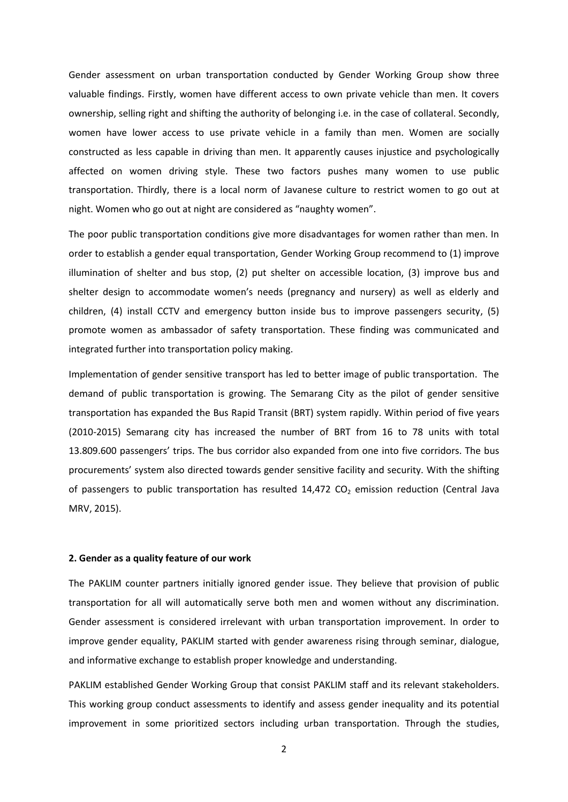Gender assessment on urban transportation conducted by Gender Working Group show three valuable findings. Firstly, women have different access to own private vehicle than men. It covers ownership, selling right and shifting the authority of belonging i.e. in the case of collateral. Secondly, women have lower access to use private vehicle in a family than men. Women are socially constructed as less capable in driving than men. It apparently causes injustice and psychologically affected on women driving style. These two factors pushes many women to use public transportation. Thirdly, there is a local norm of Javanese culture to restrict women to go out at night. Women who go out at night are considered as "naughty women".

The poor public transportation conditions give more disadvantages for women rather than men. In order to establish a gender equal transportation, Gender Working Group recommend to (1) improve illumination of shelter and bus stop, (2) put shelter on accessible location, (3) improve bus and shelter design to accommodate women's needs (pregnancy and nursery) as well as elderly and children, (4) install CCTV and emergency button inside bus to improve passengers security, (5) promote women as ambassador of safety transportation. These finding was communicated and integrated further into transportation policy making.

Implementation of gender sensitive transport has led to better image of public transportation. The demand of public transportation is growing. The Semarang City as the pilot of gender sensitive transportation has expanded the Bus Rapid Transit (BRT) system rapidly. Within period of five years (2010-2015) Semarang city has increased the number of BRT from 16 to 78 units with total 13.809.600 passengers' trips. The bus corridor also expanded from one into five corridors. The bus procurements' system also directed towards gender sensitive facility and security. With the shifting of passengers to public transportation has resulted  $14,472$  CO<sub>2</sub> emission reduction (Central Java MRV, 2015).

#### **2. Gender as a quality feature of our work**

The PAKLIM counter partners initially ignored gender issue. They believe that provision of public transportation for all will automatically serve both men and women without any discrimination. Gender assessment is considered irrelevant with urban transportation improvement. In order to improve gender equality, PAKLIM started with gender awareness rising through seminar, dialogue, and informative exchange to establish proper knowledge and understanding.

PAKLIM established Gender Working Group that consist PAKLIM staff and its relevant stakeholders. This working group conduct assessments to identify and assess gender inequality and its potential improvement in some prioritized sectors including urban transportation. Through the studies,

2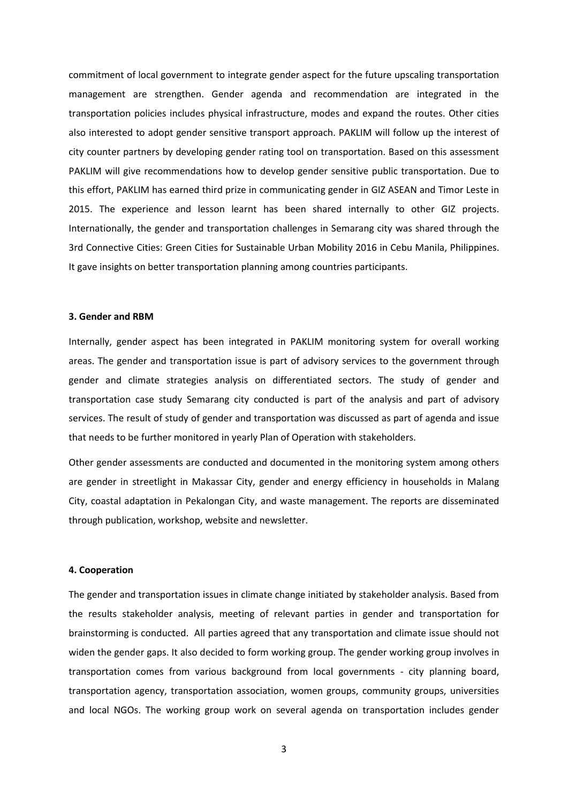commitment of local government to integrate gender aspect for the future upscaling transportation management are strengthen. Gender agenda and recommendation are integrated in the transportation policies includes physical infrastructure, modes and expand the routes. Other cities also interested to adopt gender sensitive transport approach. PAKLIM will follow up the interest of city counter partners by developing gender rating tool on transportation. Based on this assessment PAKLIM will give recommendations how to develop gender sensitive public transportation. Due to this effort, PAKLIM has earned third prize in communicating gender in GIZ ASEAN and Timor Leste in 2015. The experience and lesson learnt has been shared internally to other GIZ projects. Internationally, the gender and transportation challenges in Semarang city was shared through the 3rd Connective Cities: Green Cities for Sustainable Urban Mobility 2016 in Cebu Manila, Philippines. It gave insights on better transportation planning among countries participants.

#### **3. Gender and RBM**

Internally, gender aspect has been integrated in PAKLIM monitoring system for overall working areas. The gender and transportation issue is part of advisory services to the government through gender and climate strategies analysis on differentiated sectors. The study of gender and transportation case study Semarang city conducted is part of the analysis and part of advisory services. The result of study of gender and transportation was discussed as part of agenda and issue that needs to be further monitored in yearly Plan of Operation with stakeholders.

Other gender assessments are conducted and documented in the monitoring system among others are gender in streetlight in Makassar City, gender and energy efficiency in households in Malang City, coastal adaptation in Pekalongan City, and waste management. The reports are disseminated through publication, workshop, website and newsletter.

### **4. Cooperation**

The gender and transportation issues in climate change initiated by stakeholder analysis. Based from the results stakeholder analysis, meeting of relevant parties in gender and transportation for brainstorming is conducted. All parties agreed that any transportation and climate issue should not widen the gender gaps. It also decided to form working group. The gender working group involves in transportation comes from various background from local governments - city planning board, transportation agency, transportation association, women groups, community groups, universities and local NGOs. The working group work on several agenda on transportation includes gender

3